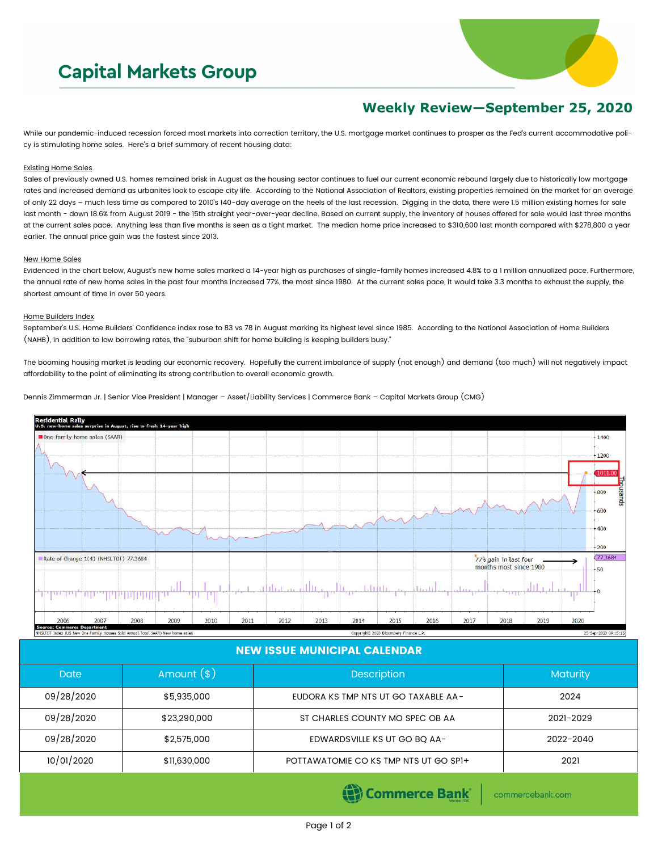# **Capital Markets Group**



# **Weekly Review—September 25, 2020**

While our pandemic-induced recession forced most markets into correction territory, the U.S. mortgage market continues to prosper as the Fed's current accommodative policy is stimulating home sales. Here's a brief summary of recent housing data:

#### Existing Home Sales

Sales of previously owned U.S. homes remained brisk in August as the housing sector continues to fuel our current economic rebound largely due to historically low mortgage rates and increased demand as urbanites look to escape city life. According to the National Association of Realtors, existing properties remained on the market for an average of only 22 days – much less time as compared to 2010's 140-day average on the heels of the last recession. Digging in the data, there were 1.5 million existing homes for sale last month - down 18.6% from August 2019 - the 15th straight year-over-year decline. Based on current supply, the inventory of houses offered for sale would last three months at the current sales pace. Anything less than five months is seen as a tight market. The median home price increased to \$310,600 last month compared with \$278,800 a year earlier. The annual price gain was the fastest since 2013.

### New Home Sales

Evidenced in the chart below, August's new home sales marked a 14-year high as purchases of single-family homes increased 4.8% to a 1 million annualized pace. Furthermore, the annual rate of new home sales in the past four months increased 77%, the most since 1980. At the current sales pace, it would take 3.3 months to exhaust the supply, the shortest amount of time in over 50 years.

#### Home Builders Index

September's U.S. Home Builders' Confidence index rose to 83 vs 78 in August marking its highest level since 1985. According to the National Association of Home Builders (NAHB), in addition to low borrowing rates, the "suburban shift for home building is keeping builders busy."

The booming housing market is leading our economic recovery. Hopefully the current imbalance of supply (not enough) and demand (too much) will not negatively impact affordability to the point of eliminating its strong contribution to overall economic growth.

Dennis Zimmerman Jr. | Senior Vice President | Manager – Asset/Liability Services | Commerce Bank – Capital Markets Group (CMG)



## NEW ISSUE MUNICIPAL CALENDAR

| <b>Date</b> | Amount $(*)$ | <b>Description</b>                    | <b>Maturity</b> |  |
|-------------|--------------|---------------------------------------|-----------------|--|
| 09/28/2020  | \$5,935,000  | EUDORA KS TMP NTS UT GO TAXABLE AA-   | 2024            |  |
| 09/28/2020  | \$23,290,000 | ST CHARLES COUNTY MO SPEC OB AA       | 2021-2029       |  |
| 09/28/2020  | \$2,575,000  | EDWARDSVILLE KS UT GO BQ AA-          | 2022-2040       |  |
| 10/01/2020  | \$11,630,000 | POTTAWATOMIE CO KS TMP NTS UT GO SPI+ | 2021            |  |

(e) Commerce Bank

commercebank.com